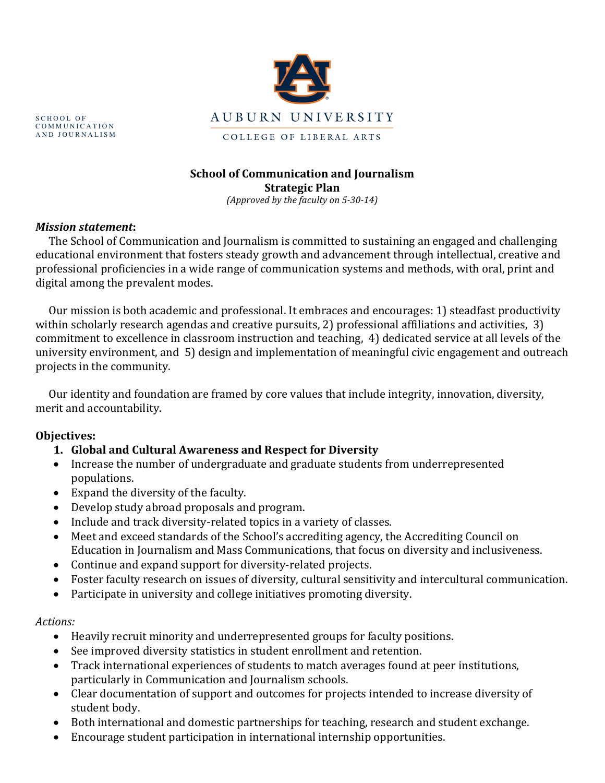

### **School of Communication and Journalism Strategic Plan**

*(Approved by the faculty on 5-30-14)*

#### *Mission statement***:**

The School of Communication and Journalism is committed to sustaining an engaged and challenging educational environment that fosters steady growth and advancement through intellectual, creative and professional proficiencies in a wide range of communication systems and methods, with oral, print and digital among the prevalent modes.

Our mission is both academic and professional. It embraces and encourages: 1) steadfast productivity within scholarly research agendas and creative pursuits, 2) professional affiliations and activities, 3) commitment to excellence in classroom instruction and teaching, 4) dedicated service at all levels of the university environment, and 5) design and implementation of meaningful civic engagement and outreach projects in the community.

Our identity and foundation are framed by core values that include integrity, innovation, diversity, merit and accountability.

#### **Objectives:**

- 1. Global and Cultural Awareness and Respect for Diversity
- Increase the number of undergraduate and graduate students from underrepresented populations.
- Expand the diversity of the faculty.
- Develop study abroad proposals and program.
- Include and track diversity-related topics in a variety of classes.
- Meet and exceed standards of the School's accrediting agency, the Accrediting Council on Education in Journalism and Mass Communications, that focus on diversity and inclusiveness.
- Continue and expand support for diversity-related projects.
- Foster faculty research on issues of diversity, cultural sensitivity and intercultural communication.
- Participate in university and college initiatives promoting diversity.

#### *Actions:*

- Heavily recruit minority and underrepresented groups for faculty positions.
- See improved diversity statistics in student enrollment and retention.
- Track international experiences of students to match averages found at peer institutions, particularly in Communication and Journalism schools.
- Clear documentation of support and outcomes for projects intended to increase diversity of student body.
- Both international and domestic partnerships for teaching, research and student exchange.
- Encourage student participation in international internship opportunities.

SCHOOL OF COMMUNICATION AND JOURNALISM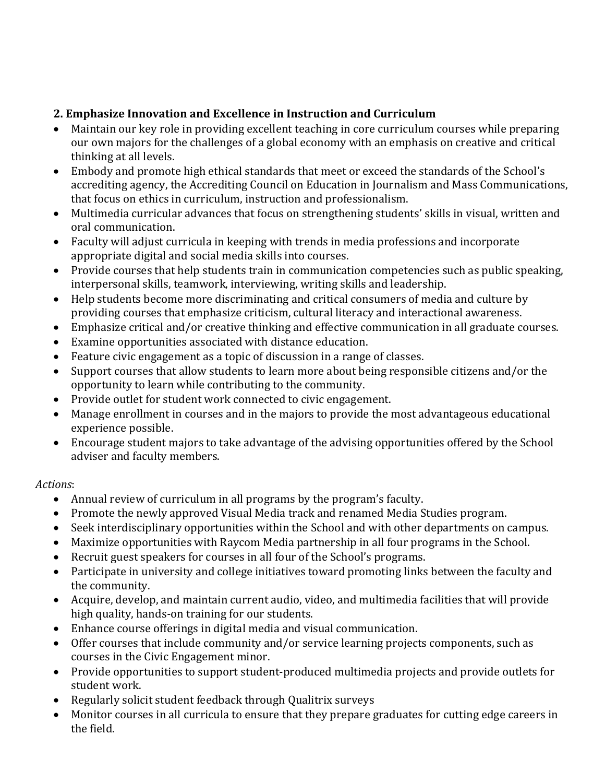# **2. Emphasize Innovation and Excellence in Instruction and Curriculum**

- Maintain our key role in providing excellent teaching in core curriculum courses while preparing our own majors for the challenges of a global economy with an emphasis on creative and critical thinking at all levels.
- Embody and promote high ethical standards that meet or exceed the standards of the School's accrediting agency, the Accrediting Council on Education in Journalism and Mass Communications, that focus on ethics in curriculum, instruction and professionalism.
- Multimedia curricular advances that focus on strengthening students' skills in visual, written and oral communication.
- Faculty will adjust curricula in keeping with trends in media professions and incorporate appropriate digital and social media skills into courses.
- Provide courses that help students train in communication competencies such as public speaking, interpersonal skills, teamwork, interviewing, writing skills and leadership.
- Help students become more discriminating and critical consumers of media and culture by providing courses that emphasize criticism, cultural literacy and interactional awareness.
- Emphasize critical and/or creative thinking and effective communication in all graduate courses.
- Examine opportunities associated with distance education.
- Feature civic engagement as a topic of discussion in a range of classes.
- Support courses that allow students to learn more about being responsible citizens and/or the opportunity to learn while contributing to the community.
- Provide outlet for student work connected to civic engagement.
- Manage enrollment in courses and in the majors to provide the most advantageous educational experience possible.
- Encourage student majors to take advantage of the advising opportunities offered by the School adviser and faculty members.

# *Actions*:

- Annual review of curriculum in all programs by the program's faculty.
- Promote the newly approved Visual Media track and renamed Media Studies program.
- Seek interdisciplinary opportunities within the School and with other departments on campus.
- Maximize opportunities with Raycom Media partnership in all four programs in the School.
- Recruit guest speakers for courses in all four of the School's programs.
- Participate in university and college initiatives toward promoting links between the faculty and the community.
- Acquire, develop, and maintain current audio, video, and multimedia facilities that will provide high quality, hands-on training for our students.
- Enhance course offerings in digital media and visual communication.
- Offer courses that include community and/or service learning projects components, such as courses in the Civic Engagement minor.
- Provide opportunities to support student-produced multimedia projects and provide outlets for student work.
- Regularly solicit student feedback through Qualitrix surveys
- Monitor courses in all curricula to ensure that they prepare graduates for cutting edge careers in the field.